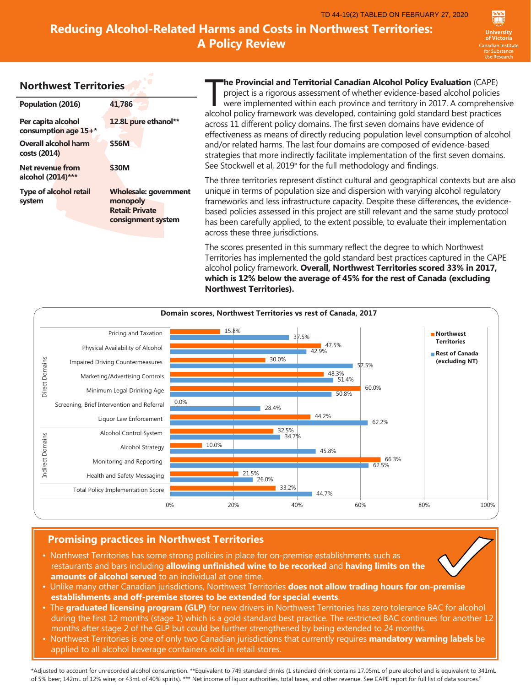

| <b>Northwest Territories</b> |  |  |
|------------------------------|--|--|
|                              |  |  |

| Population (2016)                          | 41.786                                                                                   |
|--------------------------------------------|------------------------------------------------------------------------------------------|
| Per capita alcohol<br>consumption age 15+* | 12.8L pure ethanol**                                                                     |
| Overall alcohol harm<br>costs (2014)       | \$56M                                                                                    |
| Net revenue from<br>alcohol (2014)***      | \$30M                                                                                    |
| <b>Type of alcohol retail</b><br>system    | <b>Wholesale: government</b><br>monopoly<br><b>Retail: Private</b><br>consignment system |
|                                            |                                                                                          |

The Provincial and Territorial Canadian Alcohol Policy Evaluation (CAPE)<br>project is a rigorous assessment of whether evidence-based alcohol policies<br>were implemented within each province and territory in 2017. A comprehens **he Provincial and Territorial Canadian Alcohol Policy Evaluation** (CAPE) project is a rigorous assessment of whether evidence-based alcohol policies were implemented within each province and territory in 2017. A comprehensive across 11 different policy domains. The first seven domains have evidence of effectiveness as means of directly reducing population level consumption of alcohol

and/or related harms. The last four domains are composed of evidence-based strategies that more indirectly facilitate implementation of the first seven domains. See Stockwell et al, 2019<sup>¤</sup> for the full methodology and findings. The three territories represent distinct cultural and geographical contexts but are also unique in terms of population size and dispersion with varying alcohol regulatory frameworks and less infrastructure capacity. Despite these differences, the evidencebased policies assessed in this project are still relevant and the same study protocol

The scores presented in this summary reflect the degree to which Northwest Territories has implemented the gold standard best practices captured in the CAPE alcohol policy framework. **Overall, Northwest Territories scored 33% in 2017, which is 12% below the average of 45% for the rest of Canada (excluding Northwest Territories).** 

has been carefully applied, to the extent possible, to evaluate their implementation



across these three jurisdictions.

## **Promising practices in Northwest Territories**

- Northwest Territories has some strong policies in place for on-premise establishments such as restaurants and bars including **allowing unfinished wine to be recorked** and **having limits on the amounts of alcohol served** to an individual at one time.
- Unlike many other Canadian jurisdictions, Northwest Territories **does not allow trading hours for on-premise establishments and off-premise stores to be extended for special events**.
- The **graduated licensing program (GLP)** for new drivers in Northwest Territories has zero tolerance BAC for alcohol during the first 12 months (stage 1) which is a gold standard best practice. The restricted BAC continues for another 12 months after stage 2 of the GLP but could be further strengthened by being extended to 24 months.
- Northwest Territories is one of only two Canadian jurisdictions that currently requires **mandatory warning labels** be applied to all alcohol beverage containers sold in retail stores.

\*Adjusted to account for unrecorded alcohol consumption. \*\*Equivalent to 749 standard drinks (1 standard drink contains 17.05mL of pure alcohol and is equivalent to 341mL of 5% beer; 142mL of 12% wine; or 43mL of 40% spirits). \*\*\* Net income of liquor authorities, total taxes, and other revenue. See CAPE report for full list of data sources."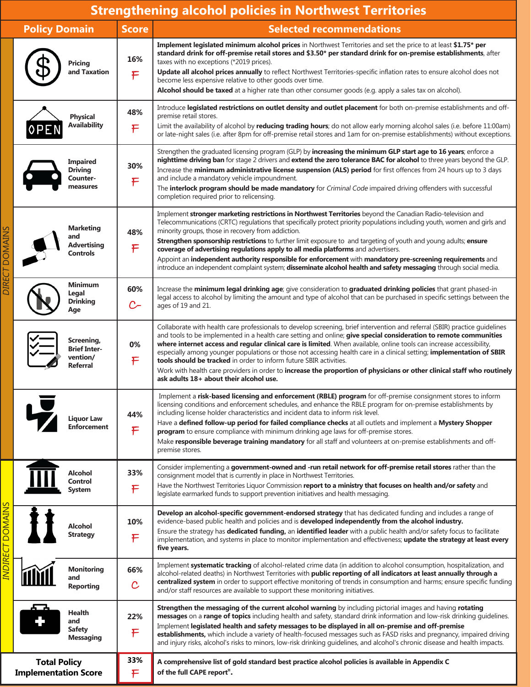# **Strengthening alcohol policies in Northwest Territories**

|                                                                                                                                                                                                             | <b>Policy Domain</b>                                             | <b>Score</b>         | suchguiching alcohol poncics in hol unvest Territorics<br><b>Selected recommendations</b>                                                                                                                                                                                                                                                                                                                                                                                                                                                                                                                                                                                                                                                     |
|-------------------------------------------------------------------------------------------------------------------------------------------------------------------------------------------------------------|------------------------------------------------------------------|----------------------|-----------------------------------------------------------------------------------------------------------------------------------------------------------------------------------------------------------------------------------------------------------------------------------------------------------------------------------------------------------------------------------------------------------------------------------------------------------------------------------------------------------------------------------------------------------------------------------------------------------------------------------------------------------------------------------------------------------------------------------------------|
|                                                                                                                                                                                                             | <b>Pricing</b><br>and Taxation                                   | 16%<br>$\mathsf F$   | Implement legislated minimum alcohol prices in Northwest Territories and set the price to at least \$1.75* per<br>standard drink for off-premise retail stores and \$3.50* per standard drink for on-premise establishments, after<br>taxes with no exceptions (*2019 prices).<br>Update all alcohol prices annually to reflect Northwest Territories-specific inflation rates to ensure alcohol does not<br>become less expensive relative to other goods over time.<br>Alcohol should be taxed at a higher rate than other consumer goods (e.g. apply a sales tax on alcohol).                                                                                                                                                              |
|                                                                                                                                                                                                             | <b>Physical</b><br><b>Availability</b>                           | 48%<br>$\mathsf F$   | Introduce legislated restrictions on outlet density and outlet placement for both on-premise establishments and off-<br>premise retail stores.<br>Limit the availability of alcohol by reducing trading hours; do not allow early morning alcohol sales (i.e. before 11:00am)<br>or late-night sales (i.e. after 8pm for off-premise retail stores and 1am for on-premise establishments) without exceptions.                                                                                                                                                                                                                                                                                                                                 |
|                                                                                                                                                                                                             | <b>Impaired</b><br><b>Driving</b><br>Counter-<br>measures        | 30%<br>F             | Strengthen the graduated licensing program (GLP) by increasing the minimum GLP start age to 16 years; enforce a<br>nighttime driving ban for stage 2 drivers and extend the zero tolerance BAC for alcohol to three years beyond the GLP.<br>Increase the minimum administrative license suspension (ALS) period for first offences from 24 hours up to 3 days<br>and include a mandatory vehicle impoundment.<br>The interlock program should be made mandatory for Criminal Code impaired driving offenders with successful<br>completion required prior to relicensing.                                                                                                                                                                    |
|                                                                                                                                                                                                             | <b>Marketing</b><br>and<br><b>Advertising</b><br><b>Controls</b> | 48%<br>F             | Implement stronger marketing restrictions in Northwest Territories beyond the Canadian Radio-television and<br>Telecommunications (CRTC) regulations that specifically protect priority populations including youth, women and girls and<br>minority groups, those in recovery from addiction.<br>Strengthen sponsorship restrictions to further limit exposure to and targeting of youth and young adults; ensure<br>coverage of advertising regulations apply to all media platforms and advertisers.<br>Appoint an independent authority responsible for enforcement with mandatory pre-screening requirements and<br>introduce an independent complaint system; disseminate alcohol health and safety messaging through social media.     |
|                                                                                                                                                                                                             | <b>Minimum</b><br>Legal<br><b>Drinking</b><br>Age                | 60%<br>$c-$          | Increase the minimum legal drinking age; give consideration to graduated drinking policies that grant phased-in<br>legal access to alcohol by limiting the amount and type of alcohol that can be purchased in specific settings between the<br>ages of 19 and 21.                                                                                                                                                                                                                                                                                                                                                                                                                                                                            |
|                                                                                                                                                                                                             | Screening,<br><b>Brief Inter-</b><br>vention/<br><b>Referral</b> | 0%<br>$\mathsf F$    | Collaborate with health care professionals to develop screening, brief intervention and referral (SBIR) practice guidelines<br>and tools to be implemented in a health care setting and online; give special consideration to remote communities<br>where internet access and regular clinical care is limited. When available, online tools can increase accessibility,<br>especially among younger populations or those not accessing health care in a clinical setting; implementation of SBIR<br>tools should be tracked in order to inform future SBIR activities.<br>Work with health care providers in order to increase the proportion of physicians or other clinical staff who routinely<br>ask adults 18+ about their alcohol use. |
|                                                                                                                                                                                                             | Liquor Law<br><b>Enforcement</b>                                 | 44%<br>$\mathsf{F}$  | Implement a risk-based licensing and enforcement (RBLE) program for off-premise consignment stores to inform<br>licensing conditions and enforcement schedules, and enhance the RBLE program for on-premise establishments by<br>including license holder characteristics and incident data to inform risk level.<br>Have a defined follow-up period for failed compliance checks at all outlets and implement a Mystery Shopper<br>program to ensure compliance with minimum drinking age laws for off-premise stores.<br>Make responsible beverage training mandatory for all staff and volunteers at on-premise establishments and off-<br>premise stores.                                                                                 |
|                                                                                                                                                                                                             | <b>Alcohol</b><br>Control<br><b>System</b>                       | 33%<br>$\mathsf F$   | Consider implementing a government-owned and -run retail network for off-premise retail stores rather than the<br>consignment model that is currently in place in Northwest Territories.<br>Have the Northwest Territories Liquor Commission report to a ministry that focuses on health and/or safety and<br>legislate earmarked funds to support prevention initiatives and health messaging.                                                                                                                                                                                                                                                                                                                                               |
|                                                                                                                                                                                                             | <b>Alcohol</b><br><b>Strategy</b>                                | 10%<br>$\mathsf F$   | Develop an alcohol-specific government-endorsed strategy that has dedicated funding and includes a range of<br>evidence-based public health and policies and is developed independently from the alcohol industry.<br>Ensure the strategy has dedicated funding, an identified leader with a public health and/or safety focus to facilitate<br>implementation, and systems in place to monitor implementation and effectiveness; update the strategy at least every<br>five years.                                                                                                                                                                                                                                                           |
|                                                                                                                                                                                                             | <b>Monitoring</b><br>and<br><b>Reporting</b>                     | 66%<br>$\mathcal{C}$ | Implement systematic tracking of alcohol-related crime data (in addition to alcohol consumption, hospitalization, and<br>alcohol-related deaths) in Northwest Territories with public reporting of all indicators at least annually through a<br>centralized system in order to support effective monitoring of trends in consumption and harms; ensure specific funding<br>and/or staff resources are available to support these monitoring initiatives.                                                                                                                                                                                                                                                                                     |
|                                                                                                                                                                                                             | Health<br>and<br><b>Safety</b><br><b>Messaging</b>               | 22%<br>$\mathsf F$   | Strengthen the messaging of the current alcohol warning by including pictorial images and having rotating<br>messages on a range of topics including health and safety, standard drink information and low-risk drinking guidelines.<br>Implement legislated health and safety messages to be displayed in all on-premise and off-premise<br>establishments, which include a variety of health-focused messages such as FASD risks and pregnancy, impaired driving<br>and injury risks, alcohol's risks to minors, low-risk drinking guidelines, and alcohol's chronic disease and health impacts.                                                                                                                                            |
| 33%<br><b>Total Policy</b><br>A comprehensive list of gold standard best practice alcohol policies is available in Appendix C<br><b>Implementation Score</b><br>F<br>of the full CAPE report <sup>"</sup> . |                                                                  |                      |                                                                                                                                                                                                                                                                                                                                                                                                                                                                                                                                                                                                                                                                                                                                               |

INDIRECT DOMAINS DIRECT DOMAINS

**INDIRECT DOMAINS** 

DIRECT DOMAINS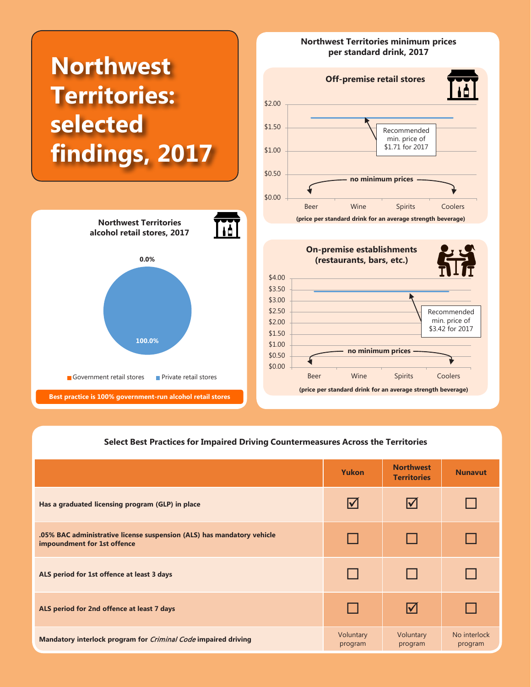

#### **Select Best Practices for Impaired Driving Countermeasures Across the Territories**

|                                                                                                       | Yukon                   | <b>Northwest</b><br><b>Territories</b> | <b>Nunavut</b>          |
|-------------------------------------------------------------------------------------------------------|-------------------------|----------------------------------------|-------------------------|
| Has a graduated licensing program (GLP) in place                                                      | $\overline{\mathsf{M}}$ | l√                                     |                         |
| .05% BAC administrative license suspension (ALS) has mandatory vehicle<br>impoundment for 1st offence |                         |                                        |                         |
| ALS period for 1st offence at least 3 days                                                            |                         |                                        |                         |
| ALS period for 2nd offence at least 7 days                                                            |                         | $\overline{\mathsf{v}}$                |                         |
| Mandatory interlock program for Criminal Code impaired driving                                        | Voluntary<br>program    | Voluntary<br>program                   | No interlock<br>program |